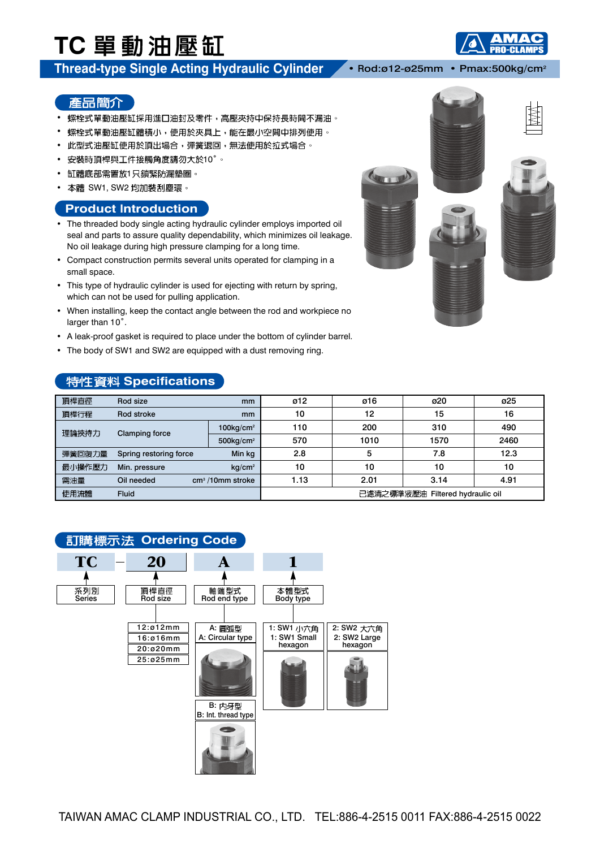# TC 單動油壓缸

### **Thread-type Single Acting Hydraulic Cylinder** • Rod:ø12-ø25mm • Pmax:500kg/cm2

74

#### 產品簡介

- 螺栓式單動油壓缸採用進口油封及零件,高壓夾持中保持長時間不漏油。
- 螺栓式單動油壓缸體積小,使用於夾具上,能在最小空間中排列使用。
- 此型式油壓缸使用於頂出場合,彈簧退回,無法使用於拉式場合。
- 安裝時頂桿與工件接觸角度請勿大於10°。
- 缸體底部需置放1只鎖緊防漏墊圏。
- 本體 SW1, SW2 均加裝刮塵環。

#### **Product Introduction**

- The threaded body single acting hydraulic cylinder employs imported oil seal and parts to assure quality dependability, which minimizes oil leakage. No oil leakage during high pressure clamping for a long time.
- Compact construction permits several units operated for clamping in a small space.
- This type of hydraulic cylinder is used for ejecting with return by spring, which can not be used for pulling application.
- When installing, keep the contact angle between the rod and workpiece no larger than 10˚.
- A leak-proof gasket is required to place under the bottom of cylinder barrel.
- The body of SW1 and SW2 are equipped with a dust removing ring.

#### **特性資料 Specifications**

| 頂桿直徑   | Rod size<br><sub>mm</sub> |                          | ø12                              | ø16  | ø20  | ø25  |  |
|--------|---------------------------|--------------------------|----------------------------------|------|------|------|--|
| 頂桿行程   | Rod stroke<br>mm          |                          | 10                               | 12   | 15   | 16   |  |
| 理論挾持力  | <b>Clamping force</b>     | $100$ kg/cm <sup>2</sup> | 110                              | 200  | 310  | 490  |  |
|        |                           | $500$ kg/cm <sup>2</sup> | 570                              | 1010 | 1570 | 2460 |  |
| 彈簧回復力量 | Spring restoring force    | Min kg                   | 2.8                              | 5    | 7.8  | 12.3 |  |
| 最小操作壓力 | Min. pressure             | $kq/cm^2$                | 10                               | 10   | 10   | 10   |  |
| 需油量    | Oil needed                | $cm3$ /10mm stroke       | 1.13                             | 2.01 | 3.14 | 4.91 |  |
| 使用流體   | <b>Fluid</b>              |                          | 已濾清之標準液壓油 Filtered hydraulic oil |      |      |      |  |

#### **訂購標示法 Ordering Code**